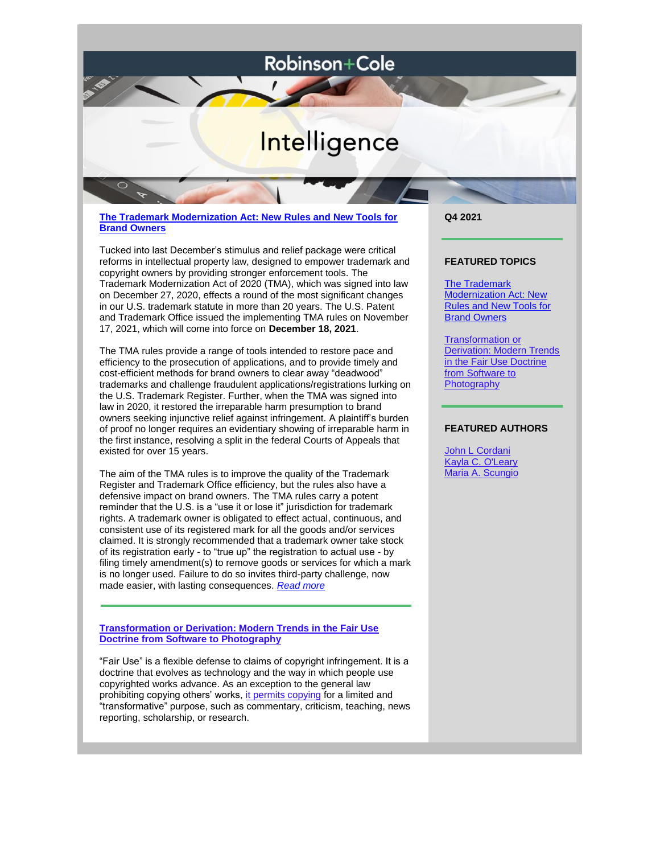## Robinson+Cole

# Intelligence

**[The Trademark Modernization Act: New Rules and New Tools for](https://files.constantcontact.com/45ae5256701/99eadd1e-69a4-4695-adb0-d98fd02d4ab3.pdf)  [Brand Owners](https://files.constantcontact.com/45ae5256701/99eadd1e-69a4-4695-adb0-d98fd02d4ab3.pdf)**

Tucked into last December's stimulus and relief package were critical reforms in intellectual property law, designed to empower trademark and copyright owners by providing stronger enforcement tools. The Trademark Modernization Act of 2020 (TMA), which was signed into law on December 27, 2020, effects a round of the most significant changes in our U.S. trademark statute in more than 20 years. The U.S. Patent and Trademark Office issued the implementing TMA rules on November 17, 2021, which will come into force on **December 18, 2021**.

The TMA rules provide a range of tools intended to restore pace and efficiency to the prosecution of applications, and to provide timely and cost-efficient methods for brand owners to clear away "deadwood" trademarks and challenge fraudulent applications/registrations lurking on the U.S. Trademark Register. Further, when the TMA was signed into law in 2020, it restored the irreparable harm presumption to brand owners seeking injunctive relief against infringement. A plaintiff's burden of proof no longer requires an evidentiary showing of irreparable harm in the first instance, resolving a split in the federal Courts of Appeals that existed for over 15 years.

The aim of the TMA rules is to improve the quality of the Trademark Register and Trademark Office efficiency, but the rules also have a defensive impact on brand owners. The TMA rules carry a potent reminder that the U.S. is a "use it or lose it" jurisdiction for trademark rights. A trademark owner is obligated to effect actual, continuous, and consistent use of its registered mark for all the goods and/or services claimed. It is strongly recommended that a trademark owner take stock of its registration early - to "true up" the registration to actual use - by filing timely amendment(s) to remove goods or services for which a mark is no longer used. Failure to do so invites third-party challenge, now made easier, with lasting consequences. *[Read more](https://files.constantcontact.com/45ae5256701/99eadd1e-69a4-4695-adb0-d98fd02d4ab3.pdf)*

**[Transformation or Derivation: Modern Trends in the Fair Use](https://www.ipwatchdog.com/2021/11/17/transformation-derivation-modern-trends-fair-use-doctrine-software-photography/id=140008/)  [Doctrine from Software to Photography](https://www.ipwatchdog.com/2021/11/17/transformation-derivation-modern-trends-fair-use-doctrine-software-photography/id=140008/)**

"Fair Use" is a flexible defense to claims of copyright infringement. It is a doctrine that evolves as technology and the way in which people use copyrighted works advance. As an exception to the general law prohibiting copying others' works, [it permits copying](https://copyrightalliance.org/faqs/what-is-fair-use) for a limited and "transformative" purpose, such as commentary, criticism, teaching, news reporting, scholarship, or research.

**Q4 2021**

#### **FEATURED TOPICS**

[The Trademark](https://files.constantcontact.com/45ae5256701/99eadd1e-69a4-4695-adb0-d98fd02d4ab3.pdf)  [Modernization Act: New](https://files.constantcontact.com/45ae5256701/99eadd1e-69a4-4695-adb0-d98fd02d4ab3.pdf)  [Rules and New Tools for](https://files.constantcontact.com/45ae5256701/99eadd1e-69a4-4695-adb0-d98fd02d4ab3.pdf)  [Brand Owners](https://files.constantcontact.com/45ae5256701/99eadd1e-69a4-4695-adb0-d98fd02d4ab3.pdf)

[Transformation or](https://www.ipwatchdog.com/2021/11/17/transformation-derivation-modern-trends-fair-use-doctrine-software-photography/id=140008/)  [Derivation: Modern Trends](https://www.ipwatchdog.com/2021/11/17/transformation-derivation-modern-trends-fair-use-doctrine-software-photography/id=140008/)  [in the Fair Use Doctrine](https://www.ipwatchdog.com/2021/11/17/transformation-derivation-modern-trends-fair-use-doctrine-software-photography/id=140008/)  from Software to **[Photography](https://www.ipwatchdog.com/2021/11/17/transformation-derivation-modern-trends-fair-use-doctrine-software-photography/id=140008/)** 

### **FEATURED AUTHORS**

[John L Cordani](http://www.rc.com/people/JohnLCordaniJr.cfm) [Kayla C. O'Leary](http://www.rc.com/people/KaylaCOLeary.cfm) [Maria A. Scungio](http://www.rc.com/people/MariaAScungio.cfm)